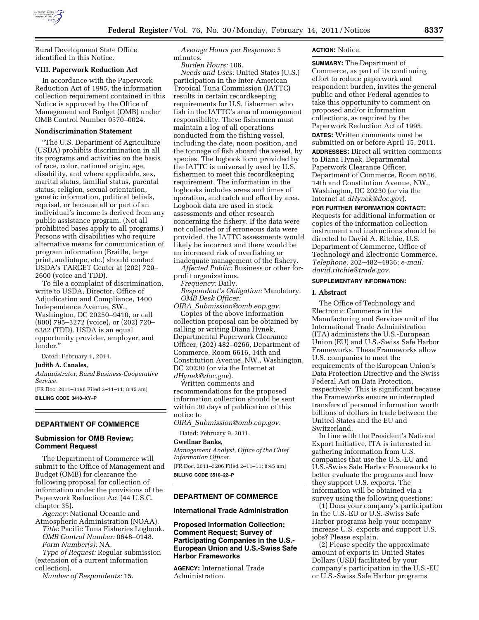

Rural Development State Office identified in this Notice.

#### **VIII. Paperwork Reduction Act**

In accordance with the Paperwork Reduction Act of 1995, the information collection requirement contained in this Notice is approved by the Office of Management and Budget (OMB) under OMB Control Number 0570–0024.

#### **Nondiscrimination Statement**

''The U.S. Department of Agriculture (USDA) prohibits discrimination in all its programs and activities on the basis of race, color, national origin, age, disability, and where applicable, sex, marital status, familial status, parental status, religion, sexual orientation, genetic information, political beliefs, reprisal, or because all or part of an individual's income is derived from any public assistance program. (Not all prohibited bases apply to all programs.) Persons with disabilities who require alternative means for communication of program information (Braille, large print, audiotape, etc.) should contact USDA's TARGET Center at (202) 720– 2600 (voice and TDD).

To file a complaint of discrimination, write to USDA, Director, Office of Adjudication and Compliance, 1400 Independence Avenue, SW., Washington, DC 20250–9410, or call (800) 795–3272 (voice), or (202) 720– 6382 (TDD). USDA is an equal opportunity provider, employer, and lender.''

Dated: February 1, 2011.

**Judith A. Canales,** 

*Administrator, Rural Business-Cooperative Service.* 

[FR Doc. 2011–3198 Filed 2–11–11; 8:45 am] **BILLING CODE 3410–XY–P** 

# **DEPARTMENT OF COMMERCE**

## **Submission for OMB Review; Comment Request**

The Department of Commerce will submit to the Office of Management and Budget (OMB) for clearance the following proposal for collection of information under the provisions of the Paperwork Reduction Act (44 U.S.C. chapter 35).

*Agency:* National Oceanic and Atmospheric Administration (NOAA). *Title:* Pacific Tuna Fisheries Logbook. *OMB Control Number:* 0648–0148. *Form Number(s):* NA.

*Type of Request:* Regular submission (extension of a current information collection).

*Number of Respondents:* 15.

*Average Hours per Response:* 5 minutes.

*Burden Hours:* 106.

*Needs and Uses:* United States (U.S.) participation in the Inter-American Tropical Tuna Commission (IATTC) results in certain recordkeeping requirements for U.S. fishermen who fish in the IATTC's area of management responsibility. These fishermen must maintain a log of all operations conducted from the fishing vessel, including the date, noon position, and the tonnage of fish aboard the vessel, by species. The logbook form provided by the IATTC is universally used by U.S. fishermen to meet this recordkeeping requirement. The information in the logbooks includes areas and times of operation, and catch and effort by area. Logbook data are used in stock assessments and other research concerning the fishery. If the data were not collected or if erroneous data were provided, the IATTC assessments would likely be incorrect and there would be an increased risk of overfishing or inadequate management of the fishery.

*Affected Public:* Business or other forprofit organizations.

*Frequency:* Daily.

*Respondent's Obligation:* Mandatory. *OMB Desk Officer:* 

*OIRA*\_*[Submission@omb.eop.gov.](mailto:OIRA_Submission@omb.eop.gov)*  Copies of the above information

collection proposal can be obtained by calling or writing Diana Hynek, Departmental Paperwork Clearance Officer, (202) 482–0266, Department of Commerce, Room 6616, 14th and Constitution Avenue, NW., Washington, DC 20230 (or via the Internet at *[dHynek@doc.gov](mailto:dHynek@doc.gov)*).

Written comments and recommendations for the proposed information collection should be sent within 30 days of publication of this notice to

*OIRA*\_*[Submission@omb.eop.gov.](mailto:OIRA_Submission@omb.eop.gov)* 

Dated: February 9, 2011.

#### **Gwellnar Banks,**

*Management Analyst, Office of the Chief Information Officer.*  [FR Doc. 2011–3206 Filed 2–11–11; 8:45 am] **BILLING CODE 3510–22–P** 

## **DEPARTMENT OF COMMERCE**

### **International Trade Administration**

**Proposed Information Collection; Comment Request; Survey of Participating Companies in the U.S.- European Union and U.S.-Swiss Safe Harbor Frameworks** 

**AGENCY:** International Trade Administration.

## **ACTION:** Notice.

**SUMMARY:** The Department of Commerce, as part of its continuing effort to reduce paperwork and respondent burden, invites the general public and other Federal agencies to take this opportunity to comment on proposed and/or information collections, as required by the Paperwork Reduction Act of 1995.

**DATES:** Written comments must be submitted on or before April 15, 2011. **ADDRESSES:** Direct all written comments to Diana Hynek, Departmental Paperwork Clearance Officer, Department of Commerce, Room 6616, 14th and Constitution Avenue, NW., Washington, DC 20230 (or via the Internet at *[dHynek@doc.gov](mailto:dHynek@doc.gov)*).

## **FOR FURTHER INFORMATION CONTACT:**

Requests for additional information or copies of the information collection instrument and instructions should be directed to David A. Ritchie, U.S. Department of Commerce, Office of Technology and Electronic Commerce, *Telephone:* 202–482–4936; *e-mail: [david.ritchie@trade.gov.](mailto:david.ritchie@trade.gov)* 

### **SUPPLEMENTARY INFORMATION:**

#### **I. Abstract**

The Office of Technology and Electronic Commerce in the Manufacturing and Services unit of the International Trade Administration (ITA) administers the U.S.-European Union (EU) and U.S.-Swiss Safe Harbor Frameworks. These Frameworks allow U.S. companies to meet the requirements of the European Union's Data Protection Directive and the Swiss Federal Act on Data Protection, respectively. This is significant because the Frameworks ensure uninterrupted transfers of personal information worth billions of dollars in trade between the United States and the EU and Switzerland.

In line with the President's National Export Initiative, ITA is interested in gathering information from U.S. companies that use the U.S.-EU and U.S.-Swiss Safe Harbor Frameworks to better evaluate the programs and how they support U.S. exports. The information will be obtained via a survey using the following questions:

(1) Does your company's participation in the U.S.-EU or U.S.-Swiss Safe Harbor programs help your company increase U.S. exports and support U.S. jobs? Please explain.

(2) Please specify the approximate amount of exports in United States Dollars (USD) facilitated by your company's participation in the U.S.-EU or U.S.-Swiss Safe Harbor programs